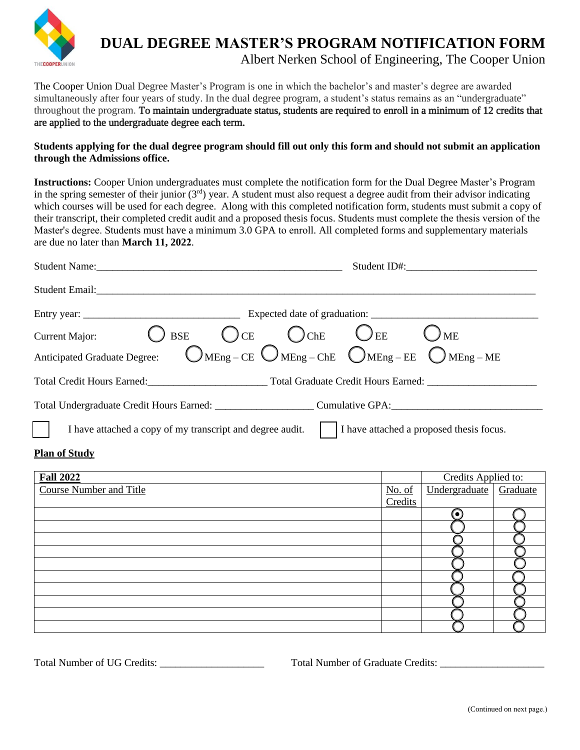

## **DUAL DEGREE MASTER'S PROGRAM NOTIFICATION FORM** Albert Nerken School of Engineering, The Cooper Union

The Cooper Union Dual Degree Master's Program is one in which the bachelor's and master's degree are awarded simultaneously after four years of study. In the dual degree program, a student's status remains as an "undergraduate" throughout the program. To maintain undergraduate status, students are required to enroll in a minimum of 12 credits that are applied to the undergraduate degree each term.

**Students applying for the dual degree program should fill out only this form and should not submit an application through the Admissions office.** 

**Instructions:** Cooper Union undergraduates must complete the notification form for the Dual Degree Master's Program in the spring semester of their junior  $(3<sup>rd</sup>)$  year. A student must also request a degree audit from their advisor indicating which courses will be used for each degree. Along with this completed notification form, students must submit a copy of their transcript, their completed credit audit and a proposed thesis focus. Students must complete the thesis version of the Master's degree. Students must have a minimum 3.0 GPA to enroll. All completed forms and supplementary materials are due no later than **March 11, 2022**.

|                                                                                                                   | Student ID#:        |               |          |  |
|-------------------------------------------------------------------------------------------------------------------|---------------------|---------------|----------|--|
|                                                                                                                   |                     |               |          |  |
|                                                                                                                   |                     |               |          |  |
| Current Major: $\bigcirc$ BSE $\bigcirc$ CE $\bigcirc$ ChE $\bigcirc$ EE $\bigcirc$ ME                            |                     |               |          |  |
| Anticipated Graduate Degree: $\bigcirc$ MEng – CE $\bigcirc$ MEng – ChE $\bigcirc$ MEng – EE $\bigcirc$ MEng – ME |                     |               |          |  |
|                                                                                                                   |                     |               |          |  |
| Total Undergraduate Credit Hours Earned: ___________________________Cumulative GPA: __________________________    |                     |               |          |  |
| I have attached a copy of my transcript and degree audit.     I have attached a proposed thesis focus.            |                     |               |          |  |
| <b>Plan of Study</b>                                                                                              |                     |               |          |  |
| <b>Fall 2022</b>                                                                                                  | Credits Applied to: |               |          |  |
| <b>Course Number and Title</b>                                                                                    | No. of<br>Credits   | Undergraduate | Graduate |  |
|                                                                                                                   |                     | ⊙             |          |  |
|                                                                                                                   |                     |               |          |  |
|                                                                                                                   |                     |               |          |  |
|                                                                                                                   |                     |               |          |  |
|                                                                                                                   |                     |               |          |  |
|                                                                                                                   |                     |               |          |  |
|                                                                                                                   |                     |               |          |  |
|                                                                                                                   |                     |               |          |  |

Total Number of UG Credits: \_\_\_\_\_\_\_\_\_\_\_\_\_\_\_\_\_\_\_\_\_\_\_\_\_\_ Total Number of Graduate Credits: \_\_\_\_\_\_\_\_\_\_\_\_\_\_\_\_\_\_\_\_\_